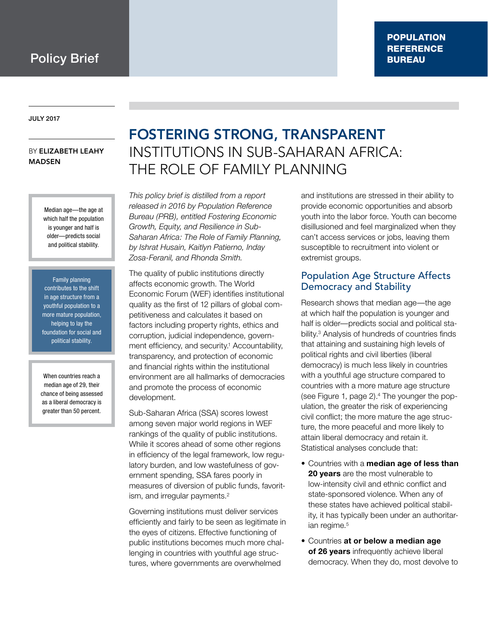July 2017

#### by Elizabeth Leahy **MADSEN**

Median age—the age at which half the population is younger and half is older—predicts social and political stability.

Family planning contributes to the shift in age structure from a youthful population to a more mature population, helping to lay the foundation for social and political stability.

When countries reach a median age of 29, their chance of being assessed as a liberal democracy is greater than 50 percent.

# Fostering Strong, Transparent Institutions in Sub-Saharan Africa: The Role of Family Planning

*This policy brief is distilled from a report released in 2016 by Population Reference Bureau (PRB), entitled Fostering Economic Growth, Equity, and Resilience in Sub-Saharan Africa: The Role of Family Planning, by Ishrat Husain, Kaitlyn Patierno, Inday Zosa-Feranil, and Rhonda Smith.*

The quality of public institutions directly affects economic growth. The World Economic Forum (WEF) identifies institutional quality as the first of 12 pillars of global competitiveness and calculates it based on factors including property rights, ethics and corruption, judicial independence, government efficiency, and security.<sup>1</sup> Accountability, transparency, and protection of economic and financial rights within the institutional environment are all hallmarks of democracies and promote the process of economic development.

Sub-Saharan Africa (SSA) scores lowest among seven major world regions in WEF rankings of the quality of public institutions. While it scores ahead of some other regions in efficiency of the legal framework, low regulatory burden, and low wastefulness of government spending, SSA fares poorly in measures of diversion of public funds, favoritism, and irregular payments.<sup>2</sup>

Governing institutions must deliver services efficiently and fairly to be seen as legitimate in the eyes of citizens. Effective functioning of public institutions becomes much more challenging in countries with youthful age structures, where governments are overwhelmed

and institutions are stressed in their ability to provide economic opportunities and absorb youth into the labor force. Youth can become disillusioned and feel marginalized when they can't access services or jobs, leaving them susceptible to recruitment into violent or extremist groups.

# Population Age Structure Affects Democracy and Stability

Research shows that median age—the age at which half the population is younger and half is older—predicts social and political stability.3 Analysis of hundreds of countries finds that attaining and sustaining high levels of political rights and civil liberties (liberal democracy) is much less likely in countries with a youthful age structure compared to countries with a more mature age structure (see Figure 1, page 2).4 The younger the population, the greater the risk of experiencing civil conflict; the more mature the age structure, the more peaceful and more likely to attain liberal democracy and retain it. Statistical analyses conclude that:

- • Countries with a **median age of less than 20 years** are the most vulnerable to low-intensity civil and ethnic conflict and state-sponsored violence. When any of these states have achieved political stability, it has typically been under an authoritarian regime.<sup>5</sup>
- • Countries **at or below a median age of 26 years** infrequently achieve liberal democracy. When they do, most devolve to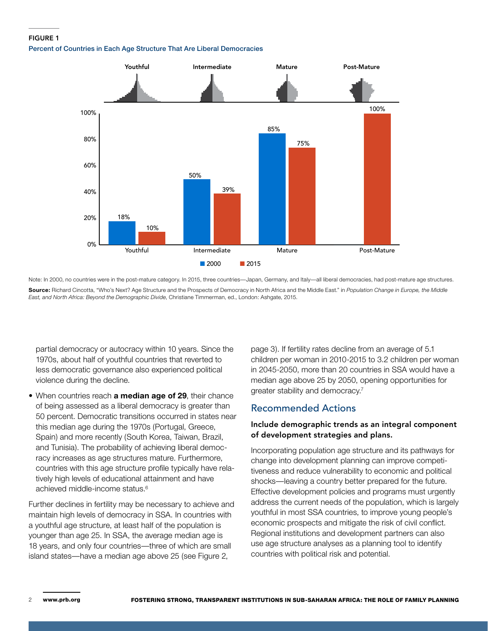#### **FIGURE 1**

Percent of Countries in Each Age Structure That Are Liberal Democracies



Note: In 2000, no countries were in the post-mature category. In 2015, three countries—Japan, Germany, and Italy—all liberal democracies, had post-mature age structures. **Source:** Richard Cincotta, "Who's Next? Age Structure and the Prospects of Democracy in North Africa and the Middle East." in *Population Change in Europe, the Middle East, and North Africa: Beyond the Demographic Divide*, Christiane Timmerman, ed., London: Ashgate, 2015.

partial democracy or autocracy within 10 years. Since the 1970s, about half of youthful countries that reverted to less democratic governance also experienced political violence during the decline.

• When countries reach **a median age of 29**, their chance of being assessed as a liberal democracy is greater than 50 percent. Democratic transitions occurred in states near this median age during the 1970s (Portugal, Greece, Spain) and more recently (South Korea, Taiwan, Brazil, and Tunisia). The probability of achieving liberal democracy increases as age structures mature. Furthermore, countries with this age structure profile typically have relatively high levels of educational attainment and have achieved middle-income status.6

Further declines in fertility may be necessary to achieve and maintain high levels of democracy in SSA. In countries with a youthful age structure, at least half of the population is younger than age 25. In SSA, the average median age is 18 years, and only four countries—three of which are small island states—have a median age above 25 (see Figure 2,

page 3). If fertility rates decline from an average of 5.1 children per woman in 2010-2015 to 3.2 children per woman in 2045-2050, more than 20 countries in SSA would have a median age above 25 by 2050, opening opportunities for greater stability and democracy.7

### Recommended Actions

#### Include demographic trends as an integral component of development strategies and plans.

Incorporating population age structure and its pathways for change into development planning can improve competitiveness and reduce vulnerability to economic and political shocks—leaving a country better prepared for the future. Effective development policies and programs must urgently address the current needs of the population, which is largely youthful in most SSA countries, to improve young people's economic prospects and mitigate the risk of civil conflict. Regional institutions and development partners can also use age structure analyses as a planning tool to identify countries with political risk and potential.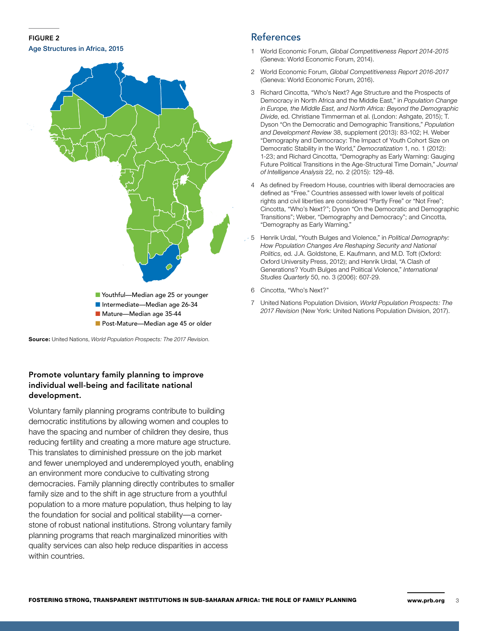#### Figure 2 Age Structures in Africa, 2015



**Source:** United Nations, *World Population Prospects: The 2017 Revision*.

#### Promote voluntary family planning to improve individual well-being and facilitate national development.

Voluntary family planning programs contribute to building democratic institutions by allowing women and couples to have the spacing and number of children they desire, thus reducing fertility and creating a more mature age structure. This translates to diminished pressure on the job market and fewer unemployed and underemployed youth, enabling an environment more conducive to cultivating strong democracies. Family planning directly contributes to smaller family size and to the shift in age structure from a youthful population to a more mature population, thus helping to lay the foundation for social and political stability—a cornerstone of robust national institutions. Strong voluntary family planning programs that reach marginalized minorities with quality services can also help reduce disparities in access within countries.

## References

- 1 World Economic Forum, *Global Competitiveness Report 2014-2015* (Geneva: World Economic Forum, 2014).
- 2 World Economic Forum, *Global Competitiveness Report 2016-2017* (Geneva: World Economic Forum, 2016).
- 3 Richard Cincotta, "Who's Next? Age Structure and the Prospects of Democracy in North Africa and the Middle East," in *Population Change in Europe, the Middle East, and North Africa: Beyond the Demographic Divide*, ed. Christiane Timmerman et al. (London: Ashgate, 2015); T. Dyson "On the Democratic and Demographic Transitions," *Population and Development Review* 38, supplement (2013): 83-102; H. Weber "Demography and Democracy: The Impact of Youth Cohort Size on Democratic Stability in the World," *Democratization* 1, no. 1 (2012): 1-23; and Richard Cincotta, "Demography as Early Warning: Gauging Future Political Transitions in the Age-Structural Time Domain," *Journal of Intelligence Analysis* 22, no. 2 (2015): 129-48.
- 4 As defined by Freedom House, countries with liberal democracies are defined as "Free." Countries assessed with lower levels of political rights and civil liberties are considered "Partly Free" or "Not Free"; Cincotta, "Who's Next?"; Dyson "On the Democratic and Demographic Transitions"; Weber, "Demography and Democracy"; and Cincotta, "Demography as Early Warning."
- 5 Henrik Urdal, "Youth Bulges and Violence," in *Political Demography: How Population Changes Are Reshaping Security and National Politics*, ed. J.A. Goldstone, E. Kaufmann, and M.D. Toft (Oxford: Oxford University Press, 2012); and Henrik Urdal, "A Clash of Generations? Youth Bulges and Political Violence," *International Studies Quarterly* 50, no. 3 (2006): 607-29.
- 6 Cincotta, "Who's Next?"
- 7 United Nations Population Division, *World Population Prospects: The 2017 Revision* (New York: United Nations Population Division, 2017).